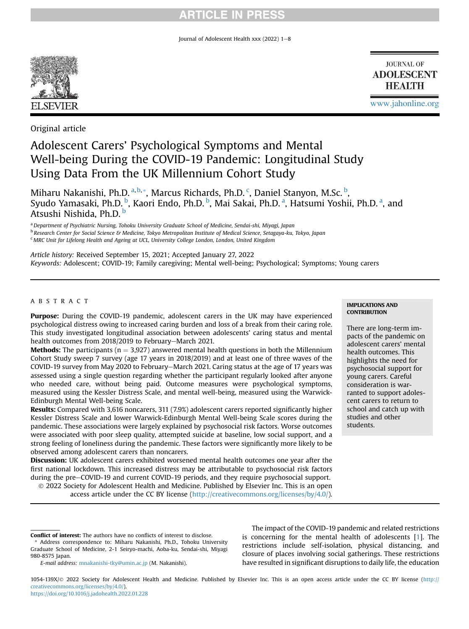Journal of Adolescent Health xxx (2022)  $1-8$ 



**JOURNAL OF ADOLESCENT HEALTH** 

[www.jahonline.org](http://www.jahonline.org)

Original article

# Adolescent Carers' Psychological Symptoms and Mental Well-being During the COVID-19 Pandemic: Longitudinal Study Using Data From the UK Millennium Cohort Study

Mih[a](#page-0-0)ru Nakanishi, Ph.D. <sup>a, [b,](#page-0-1) [\\*](#page-0-2)</sup>, Mar[c](#page-0-3)us Richards, Ph.D. <sup>c</sup>, Daniel Stanyon, M.Sc. <sup>[b](#page-0-1)</sup>, Syudo Yamasaki, Ph.D. [b](#page-0-1), K[a](#page-0-0)ori Endo, Ph.D. b, Mai Sakai, Ph.D. <sup>a</sup>, Hatsumi Yoshii, Ph.D. <sup>a</sup>, and Atsushi Nishida, Ph.D. [b](#page-0-1)

<span id="page-0-0"></span>a Department of Psychiatric Nursing, Tohoku University Graduate School of Medicine, Sendai-shi, Miyagi, Japan

<span id="page-0-1"></span>**b Research Center for Social Science & Medicine, Tokyo Metropolitan Institute of Medical Science, Setagaya-ku, Tokyo, Japan** 

<span id="page-0-3"></span> $c$  MRC Unit for Lifelong Health and Ageing at UCL, University College London, London, United Kingdom

Article history: Received September 15, 2021; Accepted January 27, 2022 Keywords: Adolescent; COVID-19; Family caregiving; Mental well-being; Psychological; Symptoms; Young carers

#### ABSTRACT

Purpose: During the COVID-19 pandemic, adolescent carers in the UK may have experienced psychological distress owing to increased caring burden and loss of a break from their caring role. This study investigated longitudinal association between adolescents' caring status and mental health outcomes from 2018/2019 to February-March 2021.

**Methods:** The participants ( $n = 3.927$ ) answered mental health questions in both the Millennium Cohort Study sweep 7 survey (age 17 years in 2018/2019) and at least one of three waves of the COVID-19 survey from May 2020 to February–March 2021. Caring status at the age of 17 years was assessed using a single question regarding whether the participant regularly looked after anyone who needed care, without being paid. Outcome measures were psychological symptoms, measured using the Kessler Distress Scale, and mental well-being, measured using the Warwick-Edinburgh Mental Well-being Scale.

Results: Compared with 3,616 noncarers, 311 (7.9%) adolescent carers reported significantly higher Kessler Distress Scale and lower Warwick-Edinburgh Mental Well-being Scale scores during the pandemic. These associations were largely explained by psychosocial risk factors. Worse outcomes were associated with poor sleep quality, attempted suicide at baseline, low social support, and a strong feeling of loneliness during the pandemic. These factors were significantly more likely to be observed among adolescent carers than noncarers.

Discussion: UK adolescent carers exhibited worsened mental health outcomes one year after the first national lockdown. This increased distress may be attributable to psychosocial risk factors during the pre-COVID-19 and current COVID-19 periods, and they require psychosocial support. 2022 Society for Adolescent Health and Medicine. Published by Elsevier Inc. This is an open

access article under the CC BY license [\(http://creativecommons.org/licenses/by/4.0/](http://creativecommons.org/licenses/by/4.0/)).

#### IMPLICATIONS AND **CONTRIBUTION**

There are long-term impacts of the pandemic on adolescent carers' mental health outcomes. This highlights the need for psychosocial support for young carers. Careful consideration is warranted to support adolescent carers to return to school and catch up with studies and other students.

The impact of the COVID-19 pandemic and related restrictions is concerning for the mental health of adolescents [[1](#page-6-0)]. The restrictions include self-isolation, physical distancing, and closure of places involving social gatherings. These restrictions have resulted in significant disruptions to daily life, the education

1054-139X/© 2022 Society for Adolescent Health and Medicine. Published by Elsevier Inc. This is an open access article under the CC BY license [\(http://](http://creativecommons.org/licenses/by/4.0/) [creativecommons.org/licenses/by/4.0/\)](http://creativecommons.org/licenses/by/4.0/). <https://doi.org/10.1016/j.jadohealth.2022.01.228>

<span id="page-0-2"></span>Conflict of interest: The authors have no conflicts of interest to disclose. Address correspondence to: Miharu Nakanishi, Ph.D., Tohoku University

Graduate School of Medicine, 2-1 Seiryo-machi, Aoba-ku, Sendai-shi, Miyagi 980-8575 Japan.

E-mail address: [mnakanishi-tky@umin.ac.jp](mailto:mnakanishi-tky@umin.ac.jp) (M. Nakanishi).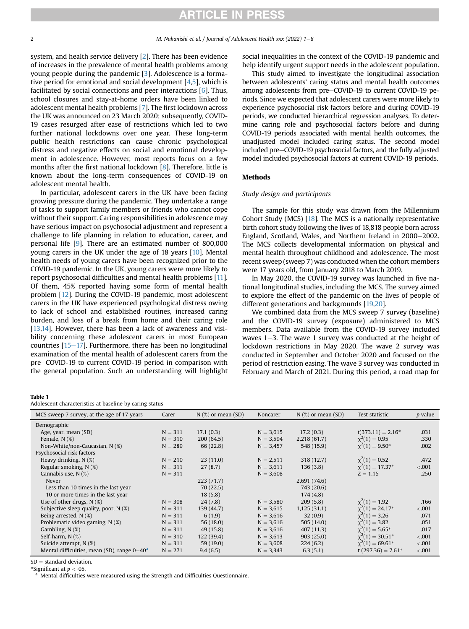system, and health service delivery [\[2\]](#page-6-1). There has been evidence of increases in the prevalence of mental health problems among young people during the pandemic [\[3\]](#page-6-2). Adolescence is a formative period for emotional and social development [\[4](#page-6-3)[,5\]](#page-7-0), which is facilitated by social connections and peer interactions [[6](#page-7-1)]. Thus, school closures and stay-at-home orders have been linked to adolescent mental health problems [[7\]](#page-7-2). The first lockdown across the UK was announced on 23 March 2020; subsequently, COVID-19 cases resurged after ease of restrictions which led to two further national lockdowns over one year. These long-term public health restrictions can cause chronic psychological distress and negative effects on social and emotional development in adolescence. However, most reports focus on a few months after the first national lockdown [[8](#page-7-3)]. Therefore, little is known about the long-term consequences of COVID-19 on adolescent mental health.

In particular, adolescent carers in the UK have been facing growing pressure during the pandemic. They undertake a range of tasks to support family members or friends who cannot cope without their support. Caring responsibilities in adolescence may have serious impact on psychosocial adjustment and represent a challenge to life planning in relation to education, career, and personal life [\[9\]](#page-7-4). There are an estimated number of 800,000 young carers in the UK under the age of 18 years [\[10](#page-7-5)]. Mental health needs of young carers have been recognized prior to the COVID-19 pandemic. In the UK, young carers were more likely to report psychosocial difficulties and mental health problems [\[11\]](#page-7-6). Of them, 45% reported having some form of mental health problem [\[12](#page-7-7)]. During the COVID-19 pandemic, most adolescent carers in the UK have experienced psychological distress owing to lack of school and established routines, increased caring burden, and loss of a break from home and their caring role [[13,](#page-7-8)[14\]](#page-7-9). However, there has been a lack of awareness and visibility concerning these adolescent carers in most European countries  $[15-17]$  $[15-17]$  $[15-17]$  $[15-17]$ . Furthermore, there has been no longitudinal examination of the mental health of adolescent carers from the pre-COVID-19 to current COVID-19 period in comparison with the general population. Such an understanding will highlight social inequalities in the context of the COVID-19 pandemic and help identify urgent support needs in the adolescent population.

This study aimed to investigate the longitudinal association between adolescents' caring status and mental health outcomes among adolescents from pre-COVID-19 to current COVID-19 periods. Since we expected that adolescent carers were more likely to experience psychosocial risk factors before and during COVID-19 periods, we conducted hierarchical regression analyses. To determine caring role and psychosocial factors before and during COVID-19 periods associated with mental health outcomes, the unadjusted model included caring status. The second model included pre–COVID-19 psychosocial factors, and the fully adjusted model included psychosocial factors at current COVID-19 periods.

#### Methods

#### Study design and participants

The sample for this study was drawn from the Millennium Cohort Study (MCS) [\[18\]](#page-7-11). The MCS is a nationally representative birth cohort study following the lives of 18,818 people born across England, Scotland, Wales, and Northern Ireland in 2000-2002. The MCS collects developmental information on physical and mental health throughout childhood and adolescence. The most recent sweep (sweep 7) was conducted when the cohort members were 17 years old, from January 2018 to March 2019.

In May 2020, the COVID-19 survey was launched in five national longitudinal studies, including the MCS. The survey aimed to explore the effect of the pandemic on the lives of people of different generations and backgrounds [[19,](#page-7-12)[20](#page-7-13)].

We combined data from the MCS sweep 7 survey (baseline) and the COVID-19 survey (exposure) administered to MCS members. Data available from the COVID-19 survey included waves  $1-3$ . The wave 1 survey was conducted at the height of lockdown restrictions in May 2020. The wave 2 survey was conducted in September and October 2020 and focused on the period of restriction easing. The wave 3 survey was conducted in February and March of 2021. During this period, a road map for

#### <span id="page-1-0"></span>Table 1

Adolescent characteristics at baseline by caring status

| MCS sweep 7 survey, at the age of 17 years<br>$N$ (%) or mean (SD)<br>$N$ (%) or mean (SD)<br>Carer<br>Test statistic<br><i>p</i> value<br>Noncarer<br>Demographic<br>17.2(0.3)<br>17.1(0.3)<br>$N = 3,615$<br>$t(373.11) = 2.16*$<br>Age, year, mean (SD)<br>$N = 311$<br>.031<br>$\chi^2(1) = 0.95$<br>$N = 310$<br>200(64.5)<br>2,218(61.7)<br>Female, $N$ $(\%)$<br>$N = 3,594$<br>.330 |
|---------------------------------------------------------------------------------------------------------------------------------------------------------------------------------------------------------------------------------------------------------------------------------------------------------------------------------------------------------------------------------------------|
|                                                                                                                                                                                                                                                                                                                                                                                             |
|                                                                                                                                                                                                                                                                                                                                                                                             |
|                                                                                                                                                                                                                                                                                                                                                                                             |
|                                                                                                                                                                                                                                                                                                                                                                                             |
| $\chi^2(1) = 9.50^*$<br>548 (15.9)<br>Non-White/non-Caucasian, N (%)<br>66 (22.8)<br>$N = 289$<br>.002<br>$N = 3,457$                                                                                                                                                                                                                                                                       |
| Psychosocial risk factors                                                                                                                                                                                                                                                                                                                                                                   |
| Heavy drinking, $N$ $(\%)$<br>$\gamma^2(1) = 0.52$<br>$N = 210$<br>23(11.0)<br>318 (12.7)<br>.472<br>$N = 2,511$                                                                                                                                                                                                                                                                            |
| $\chi^2(1) = 17.37^*$<br>Regular smoking, $N$ $(\%)$<br>$N = 311$<br>27(8.7)<br>136(3.8)<br>< .001<br>$N = 3,611$                                                                                                                                                                                                                                                                           |
| Cannabis use, N (%)<br>$N = 311$<br>$Z = 1.15$<br>$N = 3,608$<br>.250                                                                                                                                                                                                                                                                                                                       |
| Never<br>223(71.7)<br>2,691 (74.6)                                                                                                                                                                                                                                                                                                                                                          |
| Less than 10 times in the last year<br>70(22.5)<br>743 (20.6)                                                                                                                                                                                                                                                                                                                               |
| 10 or more times in the last year<br>18(5.8)<br>174(4.8)                                                                                                                                                                                                                                                                                                                                    |
| $\gamma^2(1) = 1.92$<br>Use of other drugs, $N(\%)$<br>24(7.8)<br>209(5.8)<br>.166<br>$N = 308$<br>$N = 3,580$                                                                                                                                                                                                                                                                              |
| $\gamma^2(1) = 24.17^*$<br>Subjective sleep quality, poor, $N$ $(\%)$<br>$N = 311$<br>139 (44.7)<br>1,125(31.1)<br>< .001<br>$N = 3,615$                                                                                                                                                                                                                                                    |
| $\gamma^2(1) = 3.26$<br>$N = 311$<br>Being arrested, N (%)<br>6(1.9)<br>32(0.9)<br>.071<br>$N = 3,616$                                                                                                                                                                                                                                                                                      |
| $\chi^2(1) = 3.82$<br>Problematic video gaming, N (%)<br>$N = 311$<br>56(18.0)<br>505(14.0)<br>$N = 3,616$<br>.051                                                                                                                                                                                                                                                                          |
| $\gamma^2(1) = 5.65^*$<br>Gambling, $N$ $(\%)$<br>49 (15.8)<br>407(11.3)<br>.017<br>$N = 311$<br>$N = 3,616$                                                                                                                                                                                                                                                                                |
| $\chi^2(1) = 30.51^*$<br>Self-harm, N (%)<br>$N = 310$<br>122 (39.4)<br>903(25.0)<br>< .001<br>$N = 3,613$                                                                                                                                                                                                                                                                                  |
| $\chi^2(1) = 69.61^*$<br>Suicide attempt, N (%)<br>59 (19.0)<br>224(6.2)<br>$N = 311$<br>< .001<br>$N = 3,608$                                                                                                                                                                                                                                                                              |
| t $(297.36) = 7.61*$<br>Mental difficulties, mean (SD), range $0-40^{\circ}$<br>$N = 271$<br>6.3(5.1)<br>9.4(6.5)<br>$N = 3,343$<br>< .001                                                                                                                                                                                                                                                  |

 $SD =$  standard deviation.

\*Significant at  $p < 05$ .

Mental difficulties were measured using the Strength and Difficulties Questionnaire.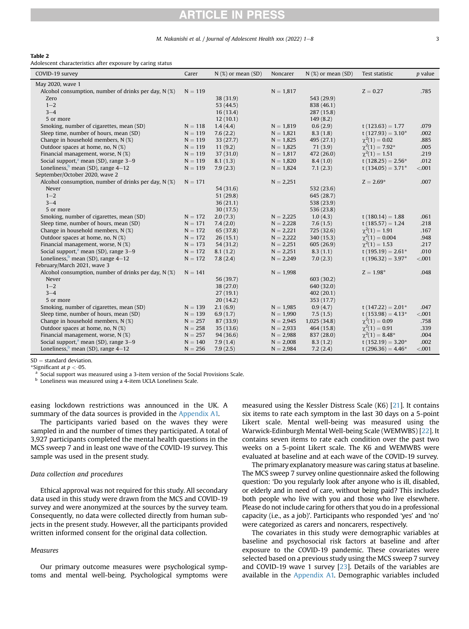### M. Nakanishi et al. / Journal of Adolescent Health xxx (2022)  $1-8$  3

#### <span id="page-2-0"></span>Table 2

Adolescent characteristics after exposure by caring status

| COVID-19 survey                                        | Carer     | $N$ (%) or mean (SD) | Noncarer    | $N$ (%) or mean (SD) | Test statistic         | <i>p</i> value |
|--------------------------------------------------------|-----------|----------------------|-------------|----------------------|------------------------|----------------|
| May 2020, wave 1                                       |           |                      |             |                      |                        |                |
| Alcohol consumption, number of drinks per day, $N$ (%) | $N = 119$ |                      | $N = 1,817$ |                      | $Z = 0.27$             | .785           |
| Zero                                                   |           | 38 (31.9)            |             | 543 (29.9)           |                        |                |
| $1 - 2$                                                |           | 53 (44.5)            |             | 838 (46.1)           |                        |                |
| $3 - 4$                                                |           | 16(13.4)             |             | 287(15.8)            |                        |                |
| 5 or more                                              |           | 12(10.1)             |             | 149(8.2)             |                        |                |
| Smoking, number of cigarettes, mean (SD)               | $N = 118$ | 1.4(4.4)             | $N = 1,819$ | 0.6(2.9)             | $t(123.63) = 1.77$     | .079           |
| Sleep time, number of hours, mean (SD)                 | $N = 119$ | 7.6(2.2)             | $N = 1,821$ | 8.3(1.8)             | $t(127.93) = 3.10*$    | .002           |
| Change in household members, N (%)                     | $N = 119$ | 33 (27.7)            | $N = 1,825$ | 495 (27.1)           | $\gamma^2(1) = 0.02$   | .885           |
| Outdoor spaces at home, no, N (%)                      | $N = 119$ | 11(9.2)              | $N = 1,825$ | 71(3.9)              | $\gamma^2(1) = 7.92^*$ | .005           |
| Financial management, worse, N (%)                     | $N = 119$ | 37 (31.0)            | $N = 1,817$ | 472 (26.0)           | $\chi^2(1) = 1.51$     | .219           |
| Social support, <sup>a</sup> mean (SD), range $3-9$    | $N = 119$ | 8.1(1.3)             | $N = 1,820$ | 8.4(1.0)             | $t(128.25) = 2.56*$    | .012           |
| Loneliness, mean (SD), range $4-12$                    | $N = 119$ | 7.9(2.3)             | $N = 1,824$ | 7.1(2.3)             | $t(134.05) = 3.71*$    | < .001         |
| September/October 2020, wave 2                         |           |                      |             |                      |                        |                |
| Alcohol consumption, number of drinks per day, N (%)   | $N = 171$ |                      | $N = 2,251$ |                      | $Z = 2.69*$            | .007           |
| Never                                                  |           | 54 (31.6)            |             | 532 (23.6)           |                        |                |
| $1 - 2$                                                |           | 51 (29.8)            |             | 645 (28.7)           |                        |                |
| $3 - 4$                                                |           | 36(21.1)             |             | 538 (23.9)           |                        |                |
| 5 or more                                              |           | 30(17.5)             |             | 536 (23.8)           |                        |                |
| Smoking, number of cigarettes, mean (SD)               | $N = 172$ | 2.0(7.3)             | $N = 2,225$ | 1.0(4.3)             | $t(180.14) = 1.88$     | .061           |
| Sleep time, number of hours, mean (SD)                 | $N = 171$ | 7.4(2.0)             | $N = 2,228$ | 7.6(1.5)             | $t(185.57) = 1.24$     | .218           |
| Change in household members, N (%)                     | $N = 172$ | 65 (37.8)            | $N = 2,221$ | 725 (32.6)           | $\chi^2(1) = 1.91$     | .167           |
| Outdoor spaces at home, no, $N$ (%)                    | $N = 172$ | 26(15.1)             | $N = 2,222$ | 340 (15.3)           | $\gamma^2(1) = 0.004$  | .948           |
| Financial management, worse, N (%)                     | $N = 173$ | 54 (31.2)            | $N = 2,251$ | 605(26.9)            | $\chi^2(1) = 1.53$     | .217           |
| Social support, <sup>a</sup> mean (SD), range $3-9$    | $N = 172$ | 8.1(1.2)             | $N = 2,251$ | 8.3(1.1)             | $t(195.19) = 2.61*$    | .010           |
| Loneliness, mean (SD), range $4-12$                    | $N = 172$ | 7.8(2.4)             | $N = 2,249$ | 7.0(2.3)             | $t(196.32) = 3.97*$    | < .001         |
| February/March 2021, wave 3                            |           |                      |             |                      |                        |                |
| Alcohol consumption, number of drinks per day, N (%)   | $N = 141$ |                      | $N = 1,998$ |                      | $Z = 1.98*$            | .048           |
| Never                                                  |           | 56 (39.7)            |             | 603 (30.2)           |                        |                |
| $1 - 2$                                                |           | 38 (27.0)            |             | 640 (32.0)           |                        |                |
| $3 - 4$                                                |           | 27(19.1)             |             | 402(20.1)            |                        |                |
| 5 or more                                              |           | 20(14.2)             |             | 353 (17.7)           |                        |                |
| Smoking, number of cigarettes, mean (SD)               | $N = 139$ | 2.1(6.9)             | $N = 1,985$ | 0.9(4.7)             | $t(147.22) = 2.01*$    | .047           |
| Sleep time, number of hours, mean (SD)                 | $N = 139$ | 6.9(1.7)             | $N = 1,990$ | 7.5(1.5)             | $t(153.98) = 4.13*$    | < 0.001        |
| Change in household members, N (%)                     | $N = 257$ | 87 (33.9)            | $N = 2,945$ | 1,025(34.8)          | $\chi^2(1) = 0.09$     | .758           |
| Outdoor spaces at home, no, N (%)                      | $N = 258$ | 35(13.6)             | $N = 2,933$ | 464 (15.8)           | $\chi^2(1) = 0.91$     | .339           |
| Financial management, worse, N (%)                     | $N = 257$ | 94(36.6)             | $N = 2,988$ | 837 (28.0)           | $\gamma^2(1) = 8.48^*$ | .004           |
| Social support, <sup>a</sup> mean (SD), range $3-9$    | $N = 140$ | 7.9(1.4)             | $N = 2,008$ | 8.3(1.2)             | t $(152.19) = 3.20*$   | .002           |
| Loneliness, mean (SD), range $4-12$                    | $N = 256$ | 7.9(2.5)             | $N = 2,984$ | 7.2(2.4)             | t (296.36) = $4.46*$   | < .001         |

 $SD =$  standard deviation.

\*Significant at  $p < 0.05$ .

<sup>a</sup> Social support was measured using a 3-item version of the Social Provisions Scale.

**b** Loneliness was measured using a 4-item UCLA Loneliness Scale.

easing lockdown restrictions was announced in the UK. A summary of the data sources is provided in the Appendix A1.

The participants varied based on the waves they were sampled in and the number of times they participated. A total of 3,927 participants completed the mental health questions in the MCS sweep 7 and in least one wave of the COVID-19 survey. This sample was used in the present study.

#### Data collection and procedures

Ethical approval was not required for this study. All secondary data used in this study were drawn from the MCS and COVID-19 survey and were anonymized at the sources by the survey team. Consequently, no data were collected directly from human subjects in the present study. However, all the participants provided written informed consent for the original data collection.

#### **Measures**

Our primary outcome measures were psychological symptoms and mental well-being. Psychological symptoms were measured using the Kessler Distress Scale (K6) [[21\]](#page-7-14). It contains six items to rate each symptom in the last 30 days on a 5-point Likert scale. Mental well-being was measured using the Warwick-Edinburgh Mental Well-being Scale (WEMWBS) [\[22\]](#page-7-15). It contains seven items to rate each condition over the past two weeks on a 5-point Likert scale. The K6 and WEMWBS were evaluated at baseline and at each wave of the COVID-19 survey.

The primary explanatory measure was caring status at baseline. The MCS sweep 7 survey online questionnaire asked the following question: 'Do you regularly look after anyone who is ill, disabled, or elderly and in need of care, without being paid? This includes both people who live with you and those who live elsewhere. Please do not include caring for others that you do in a professional capacity (i.e., as a job)'. Participants who responded 'yes' and 'no' were categorized as carers and noncarers, respectively.

The covariates in this study were demographic variables at baseline and psychosocial risk factors at baseline and after exposure to the COVID-19 pandemic. These covariates were selected based on a previous study using the MCS sweep 7 survey and COVID-19 wave 1 survey  $[23]$  $[23]$  $[23]$ . Details of the variables are available in the Appendix A1. Demographic variables included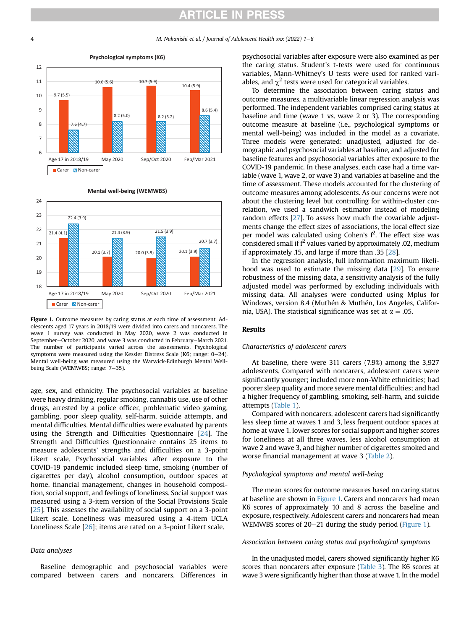<span id="page-3-0"></span>

#### **Mental well-being (WEMWBS)**



Figure 1. Outcome measures by caring status at each time of assessment. Adolescents aged 17 years in 2018/19 were divided into carers and noncarers. The wave 1 survey was conducted in May 2020, wave 2 was conducted in September-October 2020, and wave 3 was conducted in February-March 2021. The number of participants varied across the assessments. Psychological symptoms were measured using the Kessler Distress Scale (K6; range:  $0-24$ ). Mental well-being was measured using the Warwick-Edinburgh Mental Wellbeing Scale (WEMWBS; range: 7-35).

age, sex, and ethnicity. The psychosocial variables at baseline were heavy drinking, regular smoking, cannabis use, use of other drugs, arrested by a police officer, problematic video gaming, gambling, poor sleep quality, self-harm, suicide attempts, and mental difficulties. Mental difficulties were evaluated by parents using the Strength and Difficulties Questionnaire [\[24\]](#page-7-17). The Strength and Difficulties Questionnaire contains 25 items to measure adolescents' strengths and difficulties on a 3-point Likert scale. Psychosocial variables after exposure to the COVID-19 pandemic included sleep time, smoking (number of cigarettes per day), alcohol consumption, outdoor spaces at home, financial management, changes in household composition, social support, and feelings of loneliness. Social support was measured using a 3-item version of the Social Provisions Scale [[25](#page-7-18)]. This assesses the availability of social support on a 3-point Likert scale. Loneliness was measured using a 4-item UCLA Loneliness Scale [\[26\]](#page-7-19); items are rated on a 3-point Likert scale.

#### Data analyses

Baseline demographic and psychosocial variables were compared between carers and noncarers. Differences in psychosocial variables after exposure were also examined as per the caring status. Student's t-tests were used for continuous variables, Mann-Whitney's U tests were used for ranked variables, and  $\chi^2$  tests were used for categorical variables.

To determine the association between caring status and outcome measures, a multivariable linear regression analysis was performed. The independent variables comprised caring status at baseline and time (wave 1 vs. wave 2 or 3). The corresponding outcome measure at baseline (i.e., psychological symptoms or mental well-being) was included in the model as a covariate. Three models were generated: unadjusted, adjusted for demographic and psychosocial variables at baseline, and adjusted for baseline features and psychosocial variables after exposure to the COVID-19 pandemic. In these analyses, each case had a time variable (wave 1, wave 2, or wave 3) and variables at baseline and the time of assessment. These models accounted for the clustering of outcome measures among adolescents. As our concerns were not about the clustering level but controlling for within-cluster correlation, we used a sandwich estimator instead of modeling random effects [[27\]](#page-7-20). To assess how much the covariable adjustments change the effect sizes of associations, the local effect size per model was calculated using Cohen's  $f^2$ . The effect size was considered small if  $f^2$  values varied by approximately .02, medium if approximately .15, and large if more than .35 [\[28](#page-7-21)].

In the regression analysis, full information maximum likelihood was used to estimate the missing data [\[29](#page-7-22)]. To ensure robustness of the missing data, a sensitivity analysis of the fully adjusted model was performed by excluding individuals with missing data. All analyses were conducted using Mplus for Windows, version 8.4 (Muthén & Muthén, Los Angeles, California, USA). The statistical significance was set at  $\alpha = .05$ .

## Results

#### Characteristics of adolescent carers

At baseline, there were 311 carers (7.9%) among the 3,927 adolescents. Compared with noncarers, adolescent carers were significantly younger; included more non-White ethnicities; had poorer sleep quality and more severe mental difficulties; and had a higher frequency of gambling, smoking, self-harm, and suicide attempts ([Table 1\)](#page-1-0).

Compared with noncarers, adolescent carers had significantly less sleep time at waves 1 and 3, less frequent outdoor spaces at home at wave 1, lower scores for social support and higher scores for loneliness at all three waves, less alcohol consumption at wave 2 and wave 3, and higher number of cigarettes smoked and worse financial management at wave 3 [\(Table 2](#page-2-0)).

## Psychological symptoms and mental well-being

The mean scores for outcome measures based on caring status at baseline are shown in [Figure 1.](#page-3-0) Carers and noncarers had mean K6 scores of approximately 10 and 8 across the baseline and exposure, respectively. Adolescent carers and noncarers had mean WEMWBS scores of  $20-21$  during the study period [\(Figure 1](#page-3-0)).

### Association between caring status and psychological symptoms

In the unadjusted model, carers showed significantly higher K6 scores than noncarers after exposure [\(Table 3](#page-4-0)). The K6 scores at wave 3 were significantly higher than those at wave 1. In the model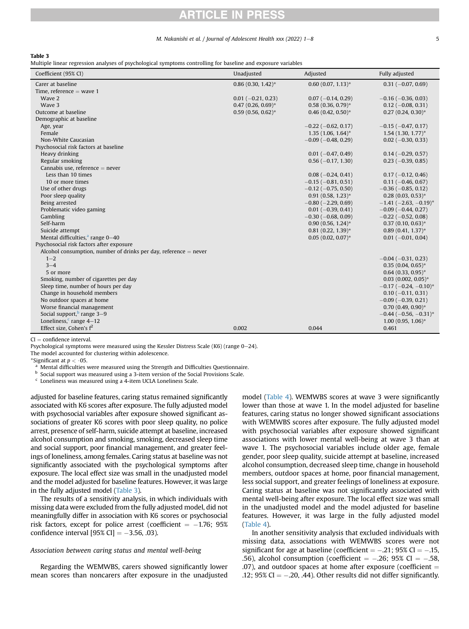#### M. Nakanishi et al. / Journal of Adolescent Health xxx (2022) 1–8 5

#### <span id="page-4-0"></span>Table 3

Multiple linear regression analyses of psychological symptoms controlling for baseline and exposure variables

| Coefficient (95% CI)                                               | Unadjusted             | Adjusted                  | Fully adjusted                           |
|--------------------------------------------------------------------|------------------------|---------------------------|------------------------------------------|
| Carer at baseline                                                  | $0.86(0.30, 1.42)^*$   | $0.60$ (0.07, 1.13)*      | $0.31 (-0.07, 0.69)$                     |
| Time, reference $=$ wave 1                                         |                        |                           |                                          |
| Wave 2                                                             | $0.01 (-0.21, 0.23)$   | $0.07 (-0.14, 0.29)$      | $-0.16$ ( $-0.36$ , 0.03)                |
| Wave 3                                                             | $0.47(0.26, 0.69)^{*}$ | $0.58(0.36, 0.79)$ *      | $0.12$ (-0.08, 0.31)                     |
| Outcome at baseline                                                | $0.59(0.56, 0.62)^{*}$ | $0.46(0.42, 0.50)^*$      | $0.27(0.24, 0.30)^{*}$                   |
| Demographic at baseline                                            |                        |                           |                                          |
| Age, year                                                          |                        | $-0.22$ ( $-0.62$ , 0.17) | $-0.15$ ( $-0.47$ , 0.17)                |
| Female                                                             |                        | $1.35(1.06, 1.64)^{*}$    | $1.54(1.30, 1.77)^*$                     |
| Non-White Caucasian                                                |                        | $-0.09$ ( $-0.48$ , 0.29) | $0.02$ (-0.30, 0.33)                     |
| Psychosocial risk factors at baseline                              |                        |                           |                                          |
| Heavy drinking                                                     |                        | $0.01 (-0.47, 0.49)$      | $0.14 (-0.29, 0.57)$                     |
| Regular smoking                                                    |                        | $0.56$ ( $-0.17$ , 1.30)  | $0.23$ (-0.39, 0.85)                     |
| Cannabis use, reference $=$ never                                  |                        |                           |                                          |
| Less than 10 times                                                 |                        | $0.08 (-0.24, 0.41)$      | $0.17(-0.12, 0.46)$                      |
| 10 or more times                                                   |                        | $-0.15$ ( $-0.81$ , 0.51) | $0.11 (-0.46, 0.67)$                     |
| Use of other drugs                                                 |                        | $-0.12$ ( $-0.75$ , 0.50) | $-0.36$ ( $-0.85$ , 0.12)                |
| Poor sleep quality                                                 |                        | $0.91(0.58, 1.23)*$       | $0.28(0.03, 0.53)*$                      |
| Being arrested                                                     |                        | $-0.80$ ( $-2.29$ , 0.69) | $-1.41$ ( $-2.63$ , $-0.19$ <sup>*</sup> |
| Problematic video gaming                                           |                        | $0.01$ (-0.39, 0.41)      | $-0.09$ ( $-0.44$ , 0.27)                |
| Gambling                                                           |                        | $-0.30$ ( $-0.68$ , 0.09) | $-0.22$ ( $-0.52$ , 0.08)                |
| Self-harm                                                          |                        | $0.90(0.56, 1.24)^*$      | $0.37(0.10, 0.63)*$                      |
| Suicide attempt                                                    |                        | $0.81$ $(0.22, 1.39)^*$   | $0.89(0.41, 1.37)^*$                     |
| Mental difficulties, <sup>a</sup> range $0-40$                     |                        | $0.05(0.02, 0.07)^*$      | $0.01 (-0.01, 0.04)$                     |
| Psychosocial risk factors after exposure                           |                        |                           |                                          |
| Alcohol consumption, number of drinks per day, reference $=$ never |                        |                           |                                          |
| $1 - 2$                                                            |                        |                           | $-0.04$ ( $-0.31$ , 0.23)                |
| $3 - 4$                                                            |                        |                           | $0.35(0.04, 0.65)*$                      |
| 5 or more                                                          |                        |                           | $0.64$ (0.33, 0.95)*                     |
| Smoking, number of cigarettes per day                              |                        |                           | $0.03$ (0.002, 0.05)*                    |
| Sleep time, number of hours per day                                |                        |                           | $-0.17$ ( $-0.24$ , $-0.10$ )*           |
| Change in household members                                        |                        |                           | $0.10 (-0.11, 0.31)$                     |
| No outdoor spaces at home                                          |                        |                           | $-0.09$ ( $-0.39$ , 0.21)                |
| Worse financial management                                         |                        |                           | $0.70(0.49, 0.90)$ *                     |
| Social support, $\frac{b}{c}$ range 3–9                            |                        |                           | $-0.44$ ( $-0.56$ , $-0.31$ )*           |
| Loneliness, $c$ range 4-12                                         |                        |                           | $1.00(0.95, 1.06)^{*}$                   |
| Effect size, Cohen's $f^2$                                         | 0.002                  | 0.044                     | 0.461                                    |

 $CI = confidence$  interval.

Psychological symptoms were measured using the Kessler Distress Scale (K6) (range  $0-24$ ).

The model accounted for clustering within adolescence.

\*Significant at  $p < 0.05$ .

Mental difficulties were measured using the Strength and Difficulties Questionnaire.

<sup>b</sup> Social support was measured using a 3-item version of the Social Provisions Scale.

Loneliness was measured using a 4-item UCLA Loneliness Scale.

adjusted for baseline features, caring status remained significantly associated with K6 scores after exposure. The fully adjusted model with psychosocial variables after exposure showed significant associations of greater K6 scores with poor sleep quality, no police arrest, presence of self-harm, suicide attempt at baseline, increased alcohol consumption and smoking, smoking, decreased sleep time and social support, poor financial management, and greater feelings of loneliness, among females. Caring status at baseline was not significantly associated with the psychological symptoms after exposure. The local effect size was small in the unadjusted model and the model adjusted for baseline features. However, it was large in the fully adjusted model ([Table 3](#page-4-0)).

The results of a sensitivity analysis, in which individuals with missing data were excluded from the fully adjusted model, did not meaningfully differ in association with K6 scores or psychosocial risk factors, except for police arrest (coefficient  $=$  -1.76; 95% confidence interval  $[95\% \text{ CI}] = -3.56, .03$ ).

#### Association between caring status and mental well-being

Regarding the WEMWBS, carers showed significantly lower mean scores than noncarers after exposure in the unadjusted model ([Table 4](#page-5-0)). WEMWBS scores at wave 3 were significantly lower than those at wave 1. In the model adjusted for baseline features, caring status no longer showed significant associations with WEMWBS scores after exposure. The fully adjusted model with psychosocial variables after exposure showed significant associations with lower mental well-being at wave 3 than at wave 1. The psychosocial variables include older age, female gender, poor sleep quality, suicide attempt at baseline, increased alcohol consumption, decreased sleep time, change in household members, outdoor spaces at home, poor financial management, less social support, and greater feelings of loneliness at exposure. Caring status at baseline was not significantly associated with mental well-being after exposure. The local effect size was small in the unadjusted model and the model adjusted for baseline features. However, it was large in the fully adjusted model ([Table 4\)](#page-5-0).

In another sensitivity analysis that excluded individuals with missing data, associations with WEMWBS scores were not significant for age at baseline (coefficient  $=$  -.21; 95% CI  $=$  -.15, .56), alcohol consumption (coefficient  $=$  -.26; 95% CI  $=$  -.58, .07), and outdoor spaces at home after exposure (coefficient  $=$ .12;  $95\%$  CI  $= -0.20$ , .44). Other results did not differ significantly.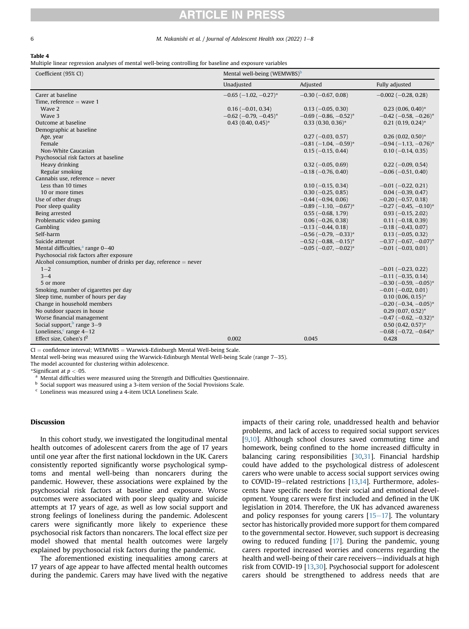### 6 M. Nakanishi et al. / Journal of Adolescent Health xxx (2022) 1-8

## <span id="page-5-0"></span>Table 4

Multiple linear regression analyses of mental well-being controlling for baseline and exposure variables

| Coefficient (95% CI)                                               | Mental well-being (WEMWBS) <sup>b</sup> |                                |                                          |  |
|--------------------------------------------------------------------|-----------------------------------------|--------------------------------|------------------------------------------|--|
|                                                                    | Unadjusted                              | Adjusted                       | Fully adjusted                           |  |
| Carer at baseline                                                  | $-0.65$ ( $-1.02$ , $-0.27$ )*          | $-0.30$ ( $-0.67$ , 0.08)      | $-0.002$ ( $-0.28$ , 0.28)               |  |
| Time, reference $=$ wave 1                                         |                                         |                                |                                          |  |
| Wave 2                                                             | $0.16(-0.01, 0.34)$                     | $0.13 (-0.05, 0.30)$           | $0.23(0.06, 0.40)^*$                     |  |
| Wave 3                                                             | $-0.62$ (-0.79, -0.45)*                 | $-0.69$ ( $-0.86$ , $-0.52$ )* | $-0.42$ ( $-0.58$ , $-0.26$ )*           |  |
| Outcome at baseline                                                | $0.43$ (0.40, 0.45) <sup>*</sup>        | $0.33$ (0.30, 0.36)*           | $0.21(0.19, 0.24)^{*}$                   |  |
| Demographic at baseline                                            |                                         |                                |                                          |  |
| Age, year                                                          |                                         | $0.27 (-0.03, 0.57)$           | $0.26(0.02, 0.50)$ *                     |  |
| Female                                                             |                                         | $-0.81$ (-1.04, -0.59)*        | $-0.94(-1.13,-0.76)$ *                   |  |
| Non-White Caucasian                                                |                                         | $0.15 (-0.15, 0.44)$           | $0.10 (-0.14, 0.35)$                     |  |
| Psychosocial risk factors at baseline                              |                                         |                                |                                          |  |
| Heavy drinking                                                     |                                         | $0.32 (-0.05, 0.69)$           | $0.22$ (-0.09, 0.54)                     |  |
| Regular smoking                                                    |                                         | $-0.18$ ( $-0.76$ , 0.40)      | $-0.06$ ( $-0.51$ , 0.40)                |  |
| Cannabis use, reference $=$ never                                  |                                         |                                |                                          |  |
| Less than 10 times                                                 |                                         | $0.10 (-0.15, 0.34)$           | $-0.01$ ( $-0.22$ , 0.21)                |  |
| 10 or more times                                                   |                                         | $0.30 (-0.25, 0.85)$           | $0.04 (-0.39, 0.47)$                     |  |
| Use of other drugs                                                 |                                         | $-0.44$ ( $-0.94$ , 0.06)      | $-0.20$ ( $-0.57$ , 0.18)                |  |
| Poor sleep quality                                                 |                                         | $-0.89$ ( $-1.10$ , $-0.67$ )* | $-0.27$ ( $-0.45$ , $-0.10$ <sup>*</sup> |  |
| Being arrested                                                     |                                         | $0.55(-0.68, 1.79)$            | $0.93(-0.15, 2.02)$                      |  |
| Problematic video gaming                                           |                                         | $0.06$ ( $-0.26$ , 0.38)       | $0.11 (-0.18, 0.39)$                     |  |
| Gambling                                                           |                                         | $-0.13$ ( $-0.44$ , 0.18)      | $-0.18$ ( $-0.43$ , 0.07)                |  |
| Self-harm                                                          |                                         | $-0.56$ ( $-0.79$ , $-0.33$ )* | $0.13 (-0.05, 0.32)$                     |  |
| Suicide attempt                                                    |                                         | $-0.52$ ( $-0.88$ , $-0.15$ )* | $-0.37$ ( $-0.67$ , $-0.07$ )*           |  |
| Mental difficulties, <sup>a</sup> range $0-40$                     |                                         | $-0.05$ ( $-0.07$ , $-0.02$ )* | $-0.01$ ( $-0.03$ , 0.01)                |  |
| Psychosocial risk factors after exposure                           |                                         |                                |                                          |  |
| Alcohol consumption, number of drinks per day, reference $=$ never |                                         |                                |                                          |  |
| $1 - 2$                                                            |                                         |                                | $-0.01$ ( $-0.23$ , 0.22)                |  |
| $3 - 4$                                                            |                                         |                                | $-0.11 (-0.35, 0.14)$                    |  |
| 5 or more                                                          |                                         |                                | $-0.30$ ( $-0.59$ , $-0.05$ )*           |  |
| Smoking, number of cigarettes per day                              |                                         |                                | $-0.01$ ( $-0.02$ , 0.01)                |  |
| Sleep time, number of hours per day                                |                                         |                                | $0.10(0.06, 0.15)*$                      |  |
| Change in household members                                        |                                         |                                | $-0.20$ ( $-0.34$ , $-0.05$ )*           |  |
| No outdoor spaces in house                                         |                                         |                                | $0.29(0.07, 0.52)^{*}$                   |  |
| Worse financial management                                         |                                         |                                | $-0.47$ ( $-0.62$ , $-0.32$ )*           |  |
| Social support, <sup>b</sup> range 3-9                             |                                         |                                | $0.50(0.42, 0.57)^{*}$                   |  |
| Loneliness, $c$ range $4-12$                                       |                                         |                                | $-0.68$ ( $-0.72$ , $-0.64$ )*           |  |
| Effect size, Cohen's $f^2$                                         | 0.002                                   | 0.045                          | 0.428                                    |  |

 $CI =$  confidence interval; WEMWBS = Warwick-Edinburgh Mental Well-being Scale.

Mental well-being was measured using the Warwick-Edinburgh Mental Well-being Scale (range  $7-35$ ).

The model accounted for clustering within adolescence.

\*Significant at  $p < 0.05$ .

 $\tilde{a}$  Mental difficulties were measured using the Strength and Difficulties Questionnaire.

<sup>b</sup> Social support was measured using a 3-item version of the Social Provisions Scale.

 $c$  Loneliness was measured using a 4-item UCLA Loneliness Scale.

## Discussion

In this cohort study, we investigated the longitudinal mental health outcomes of adolescent carers from the age of 17 years until one year after the first national lockdown in the UK. Carers consistently reported significantly worse psychological symptoms and mental well-being than noncarers during the pandemic. However, these associations were explained by the psychosocial risk factors at baseline and exposure. Worse outcomes were associated with poor sleep quality and suicide attempts at 17 years of age, as well as low social support and strong feelings of loneliness during the pandemic. Adolescent carers were significantly more likely to experience these psychosocial risk factors than noncarers. The local effect size per model showed that mental health outcomes were largely explained by psychosocial risk factors during the pandemic.

The aforementioned existing inequalities among carers at 17 years of age appear to have affected mental health outcomes during the pandemic. Carers may have lived with the negative impacts of their caring role, unaddressed health and behavior problems, and lack of access to required social support services [[9](#page-7-4)[,10\]](#page-7-5). Although school closures saved commuting time and homework, being confined to the home increased difficulty in balancing caring responsibilities [\[30,](#page-7-23)[31\]](#page-7-24). Financial hardship could have added to the psychological distress of adolescent carers who were unable to access social support services owing to COVID-19-related restrictions  $[13,14]$  $[13,14]$  $[13,14]$  $[13,14]$ . Furthermore, adolescents have specific needs for their social and emotional development. Young carers were first included and defined in the UK legislation in 2014. Therefore, the UK has advanced awareness and policy responses for young carers  $[15-17]$  $[15-17]$  $[15-17]$  $[15-17]$ . The voluntary sector has historically provided more support for them compared to the governmental sector. However, such support is decreasing owing to reduced funding [\[17](#page-7-25)]. During the pandemic, young carers reported increased worries and concerns regarding the health and well-being of their care receivers—individuals at high risk from COVID-19 [[13,](#page-7-8)[30](#page-7-23)]. Psychosocial support for adolescent carers should be strengthened to address needs that are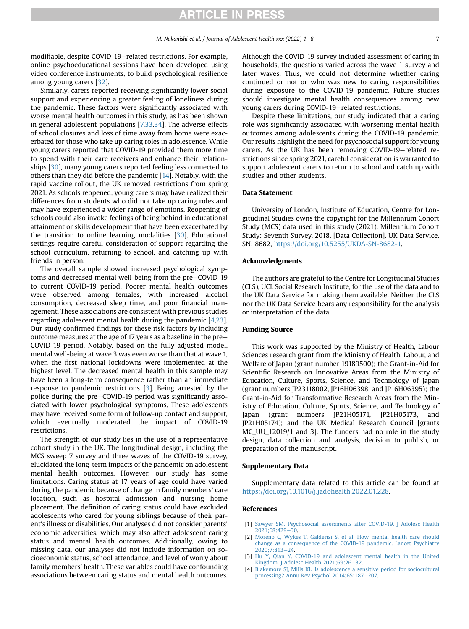modifiable, despite COVID-19–related restrictions. For example, online psychoeducational sessions have been developed using video conference instruments, to build psychological resilience among young carers [\[32\]](#page-7-26).

Similarly, carers reported receiving significantly lower social support and experiencing a greater feeling of loneliness during the pandemic. These factors were significantly associated with worse mental health outcomes in this study, as has been shown in general adolescent populations [\[7,](#page-7-2)[33,](#page-7-27)[34\]](#page-7-28). The adverse effects of school closures and loss of time away from home were exacerbated for those who take up caring roles in adolescence. While young carers reported that COVID-19 provided them more time to spend with their care receivers and enhance their relationships [\[30\]](#page-7-23), many young carers reported feeling less connected to others than they did before the pandemic [[14\]](#page-7-9). Notably, with the rapid vaccine rollout, the UK removed restrictions from spring 2021. As schools reopened, young carers may have realized their differences from students who did not take up caring roles and may have experienced a wider range of emotions. Reopening of schools could also invoke feelings of being behind in educational attainment or skills development that have been exacerbated by the transition to online learning modalities [[30](#page-7-23)]. Educational settings require careful consideration of support regarding the school curriculum, returning to school, and catching up with friends in person.

The overall sample showed increased psychological symptoms and decreased mental well-being from the pre-COVID-19 to current COVID-19 period. Poorer mental health outcomes were observed among females, with increased alcohol consumption, decreased sleep time, and poor financial management. These associations are consistent with previous studies regarding adolescent mental health during the pandemic [[4](#page-6-3)[,23\]](#page-7-16). Our study confirmed findings for these risk factors by including outcome measures at the age of 17 years as a baseline in the pre-COVID-19 period. Notably, based on the fully adjusted model, mental well-being at wave 3 was even worse than that at wave 1, when the first national lockdowns were implemented at the highest level. The decreased mental health in this sample may have been a long-term consequence rather than an immediate response to pandemic restrictions [\[3\]](#page-6-2). Being arrested by the police during the pre-COVID-19 period was significantly associated with lower psychological symptoms. These adolescents may have received some form of follow-up contact and support, which eventually moderated the impact of COVID-19 restrictions.

The strength of our study lies in the use of a representative cohort study in the UK. The longitudinal design, including the MCS sweep 7 survey and three waves of the COVID-19 survey, elucidated the long-term impacts of the pandemic on adolescent mental health outcomes. However, our study has some limitations. Caring status at 17 years of age could have varied during the pandemic because of change in family members' care location, such as hospital admission and nursing home placement. The definition of caring status could have excluded adolescents who cared for young siblings because of their parent's illness or disabilities. Our analyses did not consider parents' economic adversities, which may also affect adolescent caring status and mental health outcomes. Additionally, owing to missing data, our analyses did not include information on socioeconomic status, school attendance, and level of worry about family members' health. These variables could have confounding associations between caring status and mental health outcomes.

Although the COVID-19 survey included assessment of caring in households, the questions varied across the wave 1 survey and later waves. Thus, we could not determine whether caring continued or not or who was new to caring responsibilities during exposure to the COVID-19 pandemic. Future studies should investigate mental health consequences among new young carers during COVID-19-related restrictions.

Despite these limitations, our study indicated that a caring role was significantly associated with worsening mental health outcomes among adolescents during the COVID-19 pandemic. Our results highlight the need for psychosocial support for young carers. As the UK has been removing COVID-19–related restrictions since spring 2021, careful consideration is warranted to support adolescent carers to return to school and catch up with studies and other students.

#### Data Statement

University of London, Institute of Education, Centre for Longitudinal Studies owns the copyright for the Millennium Cohort Study (MCS) data used in this study (2021). Millennium Cohort Study: Seventh Survey, 2018. [Data Collection]. UK Data Service. SN: 8682, [https://doi.org/10.5255/UKDA-SN-8682-1.](https://doi.org/10.5255/UKDA-SN-8682-1)

#### Acknowledgments

The authors are grateful to the Centre for Longitudinal Studies (CLS), UCL Social Research Institute, for the use of the data and to the UK Data Service for making them available. Neither the CLS nor the UK Data Service bears any responsibility for the analysis or interpretation of the data.

#### Funding Source

This work was supported by the Ministry of Health, Labour Sciences research grant from the Ministry of Health, Labour, and Welfare of Japan (grant number 19189500); the Grant-in-Aid for Scientific Research on Innovative Areas from the Ministry of Education, Culture, Sports, Science, and Technology of Japan (grant numbers JP23118002, JP16H06398, and JP16H06395); the Grant-in-Aid for Transformative Research Areas from the Ministry of Education, Culture, Sports, Science, and Technology of Japan (grant numbers JP21H05171, JP21H05173, and JP21H05174); and the UK Medical Research Council [grants MC\_UU\_12019/1 and 3]. The funders had no role in the study design, data collection and analysis, decision to publish, or preparation of the manuscript.

#### Supplementary Data

Supplementary data related to this article can be found at [https://doi.org/10.1016/j.jadohealth.2022.01.228.](https://doi.org/10.1016/j.jadohealth.2022.01.228)

#### References

- <span id="page-6-0"></span>[1] [Sawyer SM. Psychosocial assessments after COVID-19. J Adolesc Health](http://refhub.elsevier.com/S1054-139X(22)00288-9/sref1) [2021;68:429](http://refhub.elsevier.com/S1054-139X(22)00288-9/sref1)-[30.](http://refhub.elsevier.com/S1054-139X(22)00288-9/sref1)
- <span id="page-6-1"></span>[2] [Moreno C, Wykes T, Galderisi S, et al. How mental health care should](http://refhub.elsevier.com/S1054-139X(22)00288-9/sref2) [change as a consequence of the COVID-19 pandemic. Lancet Psychiatry](http://refhub.elsevier.com/S1054-139X(22)00288-9/sref2) 2020:7:813-[24](http://refhub.elsevier.com/S1054-139X(22)00288-9/sref2).
- <span id="page-6-2"></span>[3] [Hu Y, Qian Y. COVID-19 and adolescent mental health in the United](http://refhub.elsevier.com/S1054-139X(22)00288-9/sref3) [Kingdom. J Adolesc Health 2021;69:26](http://refhub.elsevier.com/S1054-139X(22)00288-9/sref3)-[32](http://refhub.elsevier.com/S1054-139X(22)00288-9/sref3).
- <span id="page-6-3"></span>[4] [Blakemore SJ, Mills KL. Is adolescence a sensitive period for sociocultural](http://refhub.elsevier.com/S1054-139X(22)00288-9/sref4) [processing? Annu Rev Psychol 2014;65:187](http://refhub.elsevier.com/S1054-139X(22)00288-9/sref4)-[207.](http://refhub.elsevier.com/S1054-139X(22)00288-9/sref4)